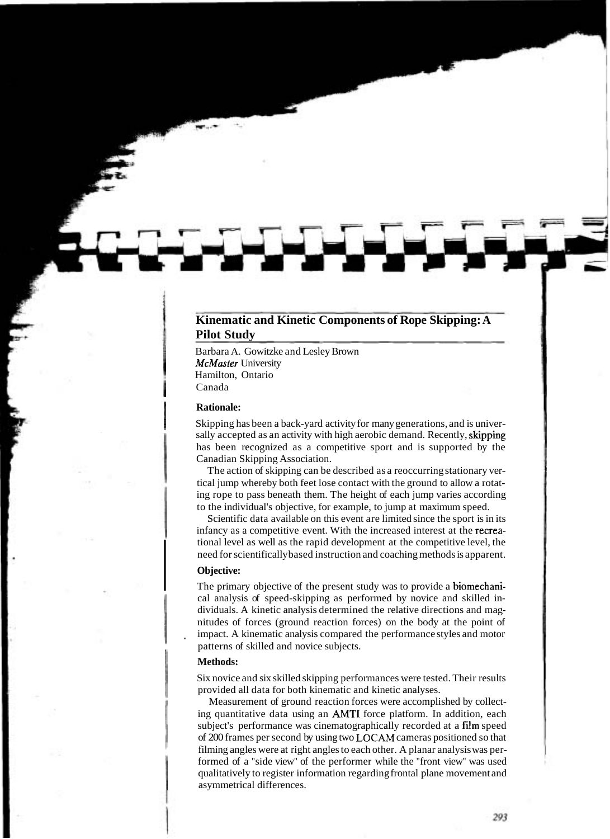# **Kinematic and Kinetic Components of Rope Skipping: A Pilot Study**

Barbara A. Gowitzke and Lesley Brown McMaster University Hamilton, Ontario Canada

#### I **Rationale:**

Skipping has been a back-yard activity for many generations, and is universally accepted as an activity with high aerobic demand. Recently, **skipping** has been recognized as a competitive sport and is supported by the Canadian Skipping Association.

The action of skipping can be described as a reoccurring stationary vertical jump whereby both feet lose contact with the ground to allow a rotating rope to pass beneath them. The height of each jump varies according to the individual's objective, for example, to jump at maximum speed.

Scientific data available on this event are limited since the sport is in its infancy as a competitive event. With the increased interest at the recreational level as well as the rapid development at the competitive level, the I tional level as well as the rapid development at the competitive level, the need for scientifically based instruction and coaching methods is apparent.<br> **Objective:**<br>
The primary objective of the present study was to pro need for scientifically based instruction and coaching methods is apparent.

## **Objective:**

The primary objective of the present study was to provide a biomechanical analysis of speed-skipping as performed by novice and skilled individuals. A kinetic analysis determined the relative directions and magnitudes of forces (ground reaction forces) on the body at the point of impact. A kinematic analysis compared the performance styles and motor patterns of skilled and novice subjects.

## **Methods:**

Six novice and six skilled skipping performances were tested. Their results provided all data for both kinematic and kinetic analyses.

Measurement of ground reaction forces were accomplished by collecting quantitative data using an AMTI force platform. In addition, each subject's performance was cinematographically recorded at a film speed of 200 frames per second by using two **LOCAM** cameras positioned so that filming angles were at right angles to each other. A planar analysis was performed of a "side view" of the performer while the "front view" was used qualitatively to register information regarding frontal plane movement and asymmetrical differences.